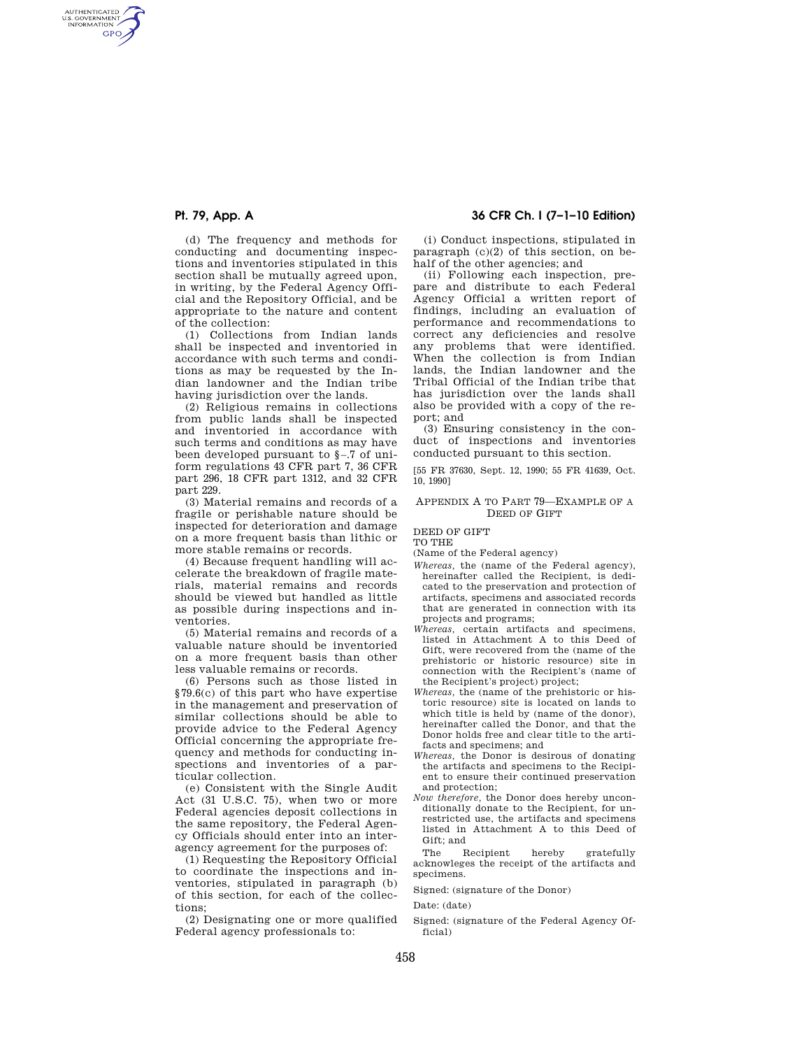AUTHENTICATED<br>U.S. GOVERNMENT<br>INFORMATION **GPO** 

> (d) The frequency and methods for conducting and documenting inspections and inventories stipulated in this section shall be mutually agreed upon, in writing, by the Federal Agency Official and the Repository Official, and be appropriate to the nature and content of the collection:

> (1) Collections from Indian lands shall be inspected and inventoried in accordance with such terms and conditions as may be requested by the Indian landowner and the Indian tribe having jurisdiction over the lands.

> (2) Religious remains in collections from public lands shall be inspected and inventoried in accordance with such terms and conditions as may have been developed pursuant to §–.7 of uniform regulations 43 CFR part 7, 36 CFR part 296, 18 CFR part 1312, and 32 CFR part 229.

> (3) Material remains and records of a fragile or perishable nature should be inspected for deterioration and damage on a more frequent basis than lithic or more stable remains or records.

> (4) Because frequent handling will accelerate the breakdown of fragile materials, material remains and records should be viewed but handled as little as possible during inspections and inventories.

> (5) Material remains and records of a valuable nature should be inventoried on a more frequent basis than other less valuable remains or records.

> (6) Persons such as those listed in §79.6(c) of this part who have expertise in the management and preservation of similar collections should be able to provide advice to the Federal Agency Official concerning the appropriate frequency and methods for conducting inspections and inventories of a particular collection.

> (e) Consistent with the Single Audit Act (31 U.S.C. 75), when two or more Federal agencies deposit collections in the same repository, the Federal Agency Officials should enter into an interagency agreement for the purposes of:

> (1) Requesting the Repository Official to coordinate the inspections and inventories, stipulated in paragraph (b) of this section, for each of the collections;

(2) Designating one or more qualified Federal agency professionals to:

## **Pt. 79, App. A 36 CFR Ch. I (7–1–10 Edition)**

(i) Conduct inspections, stipulated in paragraph  $(c)(2)$  of this section, on behalf of the other agencies; and

(ii) Following each inspection, prepare and distribute to each Federal Agency Official a written report of findings, including an evaluation of performance and recommendations to correct any deficiencies and resolve any problems that were identified. When the collection is from Indian lands, the Indian landowner and the Tribal Official of the Indian tribe that has jurisdiction over the lands shall also be provided with a copy of the report; and

(3) Ensuring consistency in the conduct of inspections and inventories conducted pursuant to this section.

[55 FR 37630, Sept. 12, 1990; 55 FR 41639, Oct. 10, 1990]

## APPENDIX A TO PART 79—EXAMPLE OF A DEED OF GIFT

DEED OF GIFT

TO THE

- (Name of the Federal agency)
- *Whereas,* the (name of the Federal agency), hereinafter called the Recipient, is dedicated to the preservation and protection of artifacts, specimens and associated records that are generated in connection with its projects and programs;
- *Whereas,* certain artifacts and specimens, listed in Attachment A to this Deed of Gift, were recovered from the (name of the prehistoric or historic resource) site in connection with the Recipient's (name of the Recipient's project) project;
- *Whereas,* the (name of the prehistoric or historic resource) site is located on lands to which title is held by (name of the donor), hereinafter called the Donor, and that the Donor holds free and clear title to the artifacts and specimens; and
- *Whereas,* the Donor is desirous of donating the artifacts and specimens to the Recipient to ensure their continued preservation and protection;
- *Now therefore,* the Donor does hereby unconditionally donate to the Recipient, for unrestricted use, the artifacts and specimens listed in Attachment A to this Deed of Gift; and

The Recipient hereby gratefully acknowleges the receipt of the artifacts and specimens.

Signed: (signature of the Donor)

Date: (date)

Signed: (signature of the Federal Agency Official)